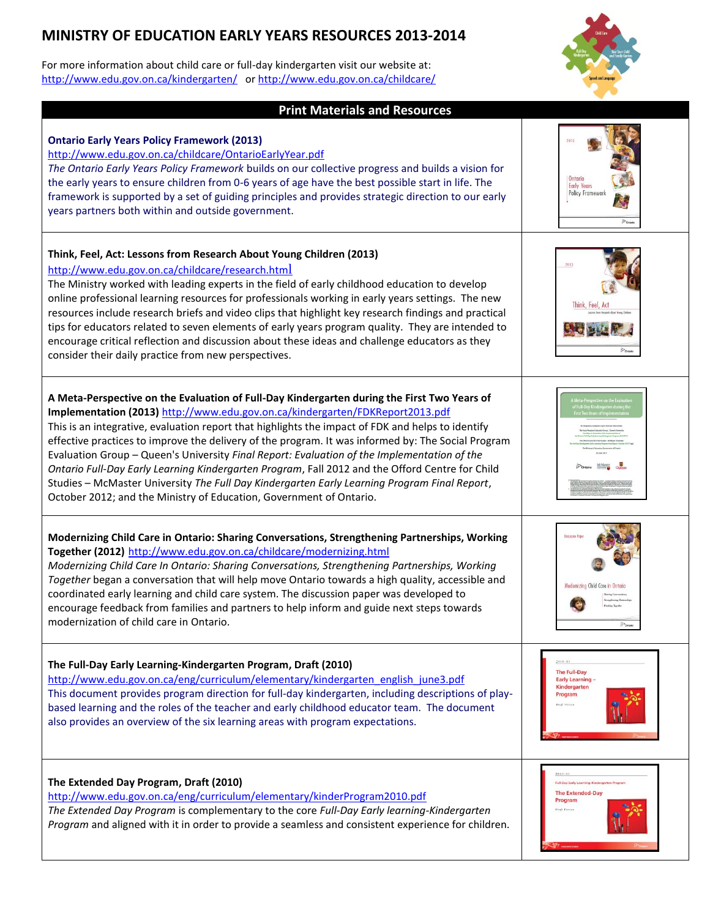# **MINISTRY OF EDUCATION EARLY YEARS RESOURCES 2013-2014**

For more information about child care or full-day kindergarten visit our website at: <http://www.edu.gov.on.ca/kindergarten/> o[r http://www.edu.gov.on.ca/childcare/](http://www.edu.gov.on.ca/childcare/)



| <b>Print Materials and Resources</b>                                                                                                                                                                                                                                                                                                                                                                                                                                                                                                                                                                                                                                                                                                                             |                                                                                                    |
|------------------------------------------------------------------------------------------------------------------------------------------------------------------------------------------------------------------------------------------------------------------------------------------------------------------------------------------------------------------------------------------------------------------------------------------------------------------------------------------------------------------------------------------------------------------------------------------------------------------------------------------------------------------------------------------------------------------------------------------------------------------|----------------------------------------------------------------------------------------------------|
| <b>Ontario Early Years Policy Framework (2013)</b><br>http://www.edu.gov.on.ca/childcare/OntarioEarlyYear.pdf<br>The Ontario Early Years Policy Framework builds on our collective progress and builds a vision for<br>the early years to ensure children from 0-6 years of age have the best possible start in life. The<br>framework is supported by a set of guiding principles and provides strategic direction to our early<br>years partners both within and outside government.                                                                                                                                                                                                                                                                           | Ontario<br><b>Early Years</b><br>Policy Framework                                                  |
| Think, Feel, Act: Lessons from Research About Young Children (2013)<br>http://www.edu.gov.on.ca/childcare/research.html<br>The Ministry worked with leading experts in the field of early childhood education to develop<br>online professional learning resources for professionals working in early years settings. The new<br>resources include research briefs and video clips that highlight key research findings and practical<br>tips for educators related to seven elements of early years program quality. They are intended to<br>encourage critical reflection and discussion about these ideas and challenge educators as they<br>consider their daily practice from new perspectives.                                                             | 2013<br>Think, Feel, Act                                                                           |
| A Meta-Perspective on the Evaluation of Full-Day Kindergarten during the First Two Years of<br>Implementation (2013) http://www.edu.gov.on.ca/kindergarten/FDKReport2013.pdf<br>This is an integrative, evaluation report that highlights the impact of FDK and helps to identify<br>effective practices to improve the delivery of the program. It was informed by: The Social Program<br>Evaluation Group - Queen's University Final Report: Evaluation of the Implementation of the<br>Ontario Full-Day Early Learning Kindergarten Program, Fall 2012 and the Offord Centre for Child<br>Studies - McMaster University The Full Day Kindergarten Early Learning Program Final Report,<br>October 2012; and the Ministry of Education, Government of Ontario. |                                                                                                    |
| Modernizing Child Care in Ontario: Sharing Conversations, Strengthening Partnerships, Working<br>Together (2012) http://www.edu.gov.on.ca/childcare/modernizing.html<br>Modernizing Child Care In Ontario: Sharing Conversations, Strengthening Partnerships, Working<br>Together began a conversation that will help move Ontario towards a high quality, accessible and<br>coordinated early learning and child care system. The discussion paper was developed to<br>encourage feedback from families and partners to help inform and guide next steps towards<br>modernization of child care in Ontario.                                                                                                                                                     | Modernizing Child Care in<br>Ponteno                                                               |
| The Full-Day Early Learning-Kindergarten Program, Draft (2010)<br>http://www.edu.gov.on.ca/eng/curriculum/elementary/kindergarten english june3.pdf<br>This document provides program direction for full-day kindergarten, including descriptions of play-<br>based learning and the roles of the teacher and early childhood educator team. The document<br>also provides an overview of the six learning areas with program expectations.                                                                                                                                                                                                                                                                                                                      | $2010 - 11$<br><b>The Full-Day</b><br>Early Learning -<br>Kindergarten<br>Program<br>Draft Printer |
| The Extended Day Program, Draft (2010)<br>http://www.edu.gov.on.ca/eng/curriculum/elementary/kinderProgram2010.pdf<br>The Extended Day Program is complementary to the core Full-Day Early learning-Kindergarten<br>Program and aligned with it in order to provide a seamless and consistent experience for children.                                                                                                                                                                                                                                                                                                                                                                                                                                           | Full-Day Early Learning-Kindergarten Progra<br><b>The Extended-Day</b><br>Program<br>Dreft Version |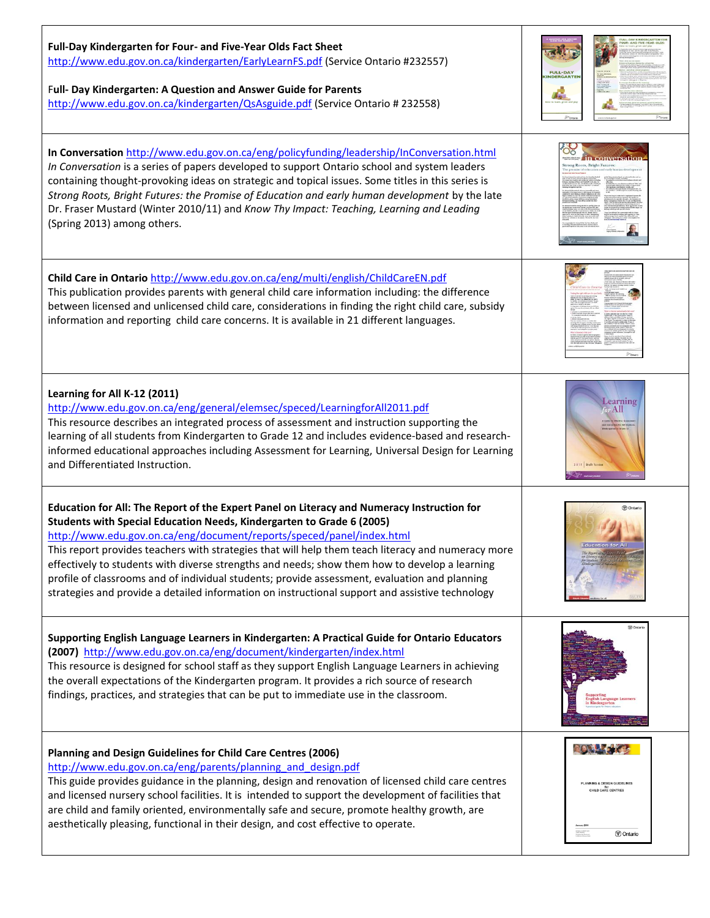| Full-Day Kindergarten for Four- and Five-Year Olds Fact Sheet<br>http://www.edu.gov.on.ca/kindergarten/EarlyLearnFS.pdf (Service Ontario #232557)<br>Full- Day Kindergarten: A Question and Answer Guide for Parents<br>http://www.edu.gov.on.ca/kindergarten/QsAsguide.pdf (Service Ontario # 232558)                                                                                                                                                                                                                                                                                                                                                  | <b>FULL-DAY</b><br>NDERGART                                                                                                                        |
|---------------------------------------------------------------------------------------------------------------------------------------------------------------------------------------------------------------------------------------------------------------------------------------------------------------------------------------------------------------------------------------------------------------------------------------------------------------------------------------------------------------------------------------------------------------------------------------------------------------------------------------------------------|----------------------------------------------------------------------------------------------------------------------------------------------------|
| In Conversation http://www.edu.gov.on.ca/eng/policyfunding/leadership/InConversation.html<br>In Conversation is a series of papers developed to support Ontario school and system leaders<br>containing thought-provoking ideas on strategic and topical issues. Some titles in this series is<br>Strong Roots, Bright Futures: the Promise of Education and early human development by the late<br>Dr. Fraser Mustard (Winter 2010/11) and Know Thy Impact: Teaching, Learning and Leading<br>(Spring 2013) among others.                                                                                                                              |                                                                                                                                                    |
| Child Care in Ontario http://www.edu.gov.on.ca/eng/multi/english/ChildCareEN.pdf<br>This publication provides parents with general child care information including: the difference<br>between licensed and unlicensed child care, considerations in finding the right child care, subsidy<br>information and reporting child care concerns. It is available in 21 different languages.                                                                                                                                                                                                                                                                 |                                                                                                                                                    |
| Learning for All K-12 (2011)<br>http://www.edu.gov.on.ca/eng/general/elemsec/speced/LearningforAll2011.pdf<br>This resource describes an integrated process of assessment and instruction supporting the<br>learning of all students from Kindergarten to Grade 12 and includes evidence-based and research-<br>informed educational approaches including Assessment for Learning, Universal Design for Learning<br>and Differentiated Instruction.                                                                                                                                                                                                     | Learning<br>All                                                                                                                                    |
| Education for All: The Report of the Expert Panel on Literacy and Numeracy Instruction for<br>Students with Special Education Needs, Kindergarten to Grade 6 (2005)<br>http://www.edu.gov.on.ca/eng/document/reports/speced/panel/index.html<br>This report provides teachers with strategies that will help them teach literacy and numeracy more<br>effectively to students with diverse strengths and needs; show them how to develop a learning<br>profile of classrooms and of individual students; provide assessment, evaluation and planning<br>strategies and provide a detailed information on instructional support and assistive technology | V Ontari                                                                                                                                           |
| Supporting English Language Learners in Kindergarten: A Practical Guide for Ontario Educators<br>(2007) http://www.edu.gov.on.ca/eng/document/kindergarten/index.html<br>This resource is designed for school staff as they support English Language Learners in achieving<br>the overall expectations of the Kindergarten program. It provides a rich source of research<br>findings, practices, and strategies that can be put to immediate use in the classroom.                                                                                                                                                                                     | <b>D</b> Ontar                                                                                                                                     |
| Planning and Design Guidelines for Child Care Centres (2006)<br>http://www.edu.gov.on.ca/eng/parents/planning and design.pdf<br>This guide provides guidance in the planning, design and renovation of licensed child care centres<br>and licensed nursery school facilities. It is intended to support the development of facilities that<br>are child and family oriented, environmentally safe and secure, promote healthy growth, are<br>aesthetically pleasing, functional in their design, and cost effective to operate.                                                                                                                         | <b>ROAL OF</b><br>MNING & DESIGN GUIDELINE<br>CHILD CARE CENTRES<br>Mingha at Children<br>Tool Services<br>Minghan des Deserts<br><b>M</b> Ontario |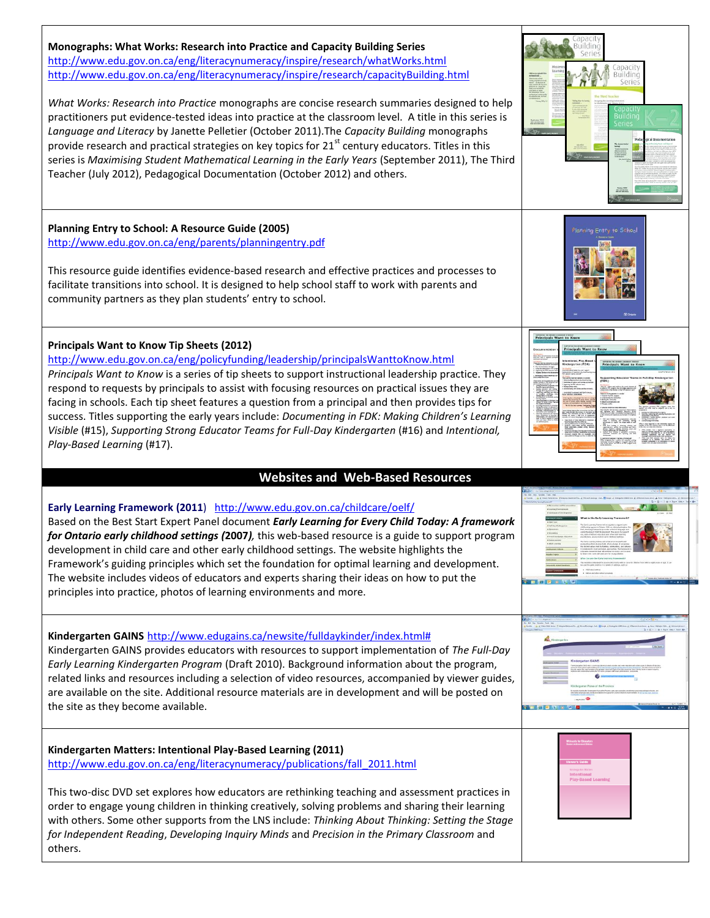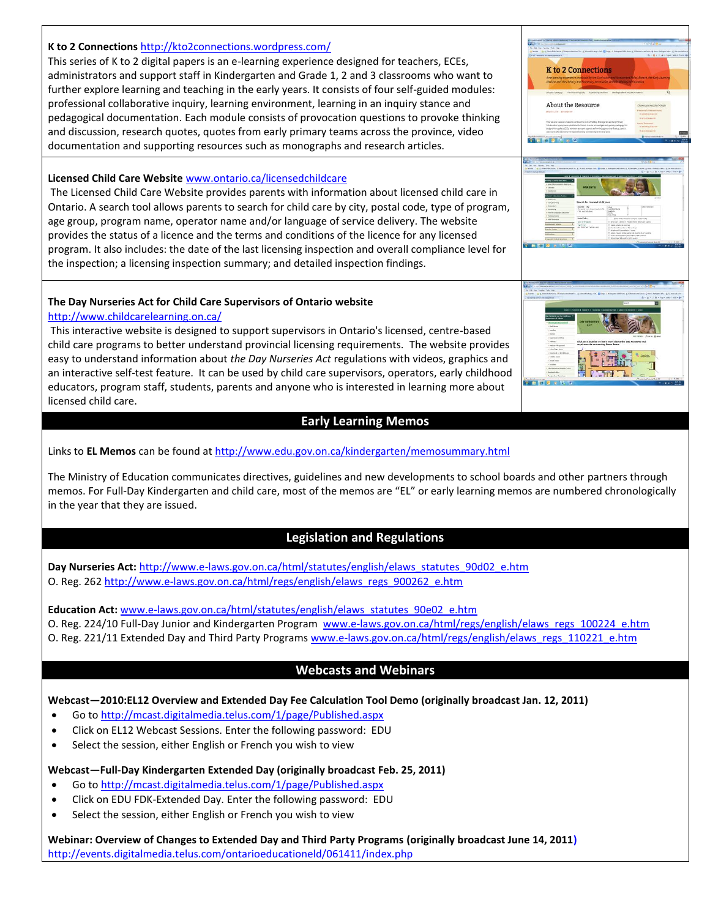### **K to 2 Connections** <http://kto2connections.wordpress.com/>

This series of K to 2 digital papers is an e-learning experience designed for teachers, ECEs, administrators and support staff in Kindergarten and Grade 1, 2 and 3 classrooms who want to further explore learning and teaching in the early years. It consists of four self-guided modules: professional collaborative inquiry, learning environment, learning in an inquiry stance and pedagogical documentation. Each module consists of provocation questions to provoke thinking and discussion, research quotes, quotes from early primary teams across the province, video documentation and supporting resources such as monographs and research articles.

### **Licensed Child Care Website** [www.ontario.ca/licensedchildcare](http://www.ontario.ca/licensedchildcare)

The Licensed Child Care Website provides parents with information about licensed child care in Ontario. A search tool allows parents to search for child care by city, postal code, type of program, age group, program name, operator name and/or language of service delivery. The website provides the status of a licence and the terms and conditions of the licence for any licensed program. It also includes: the date of the last licensing inspection and overall compliance level for the inspection; a licensing inspection summary; and detailed inspection findings.

### **The Day Nurseries Act for Child Care Supervisors of Ontario website**

### <http://www.childcarelearning.on.ca/>

This interactive website is designed to support supervisors in Ontario's licensed, centre-based child care programs to better understand provincial licensing requirements. The website provides easy to understand information about *the Day Nurseries Act* regulations with videos, graphics and an interactive self-test feature. It can be used by child care supervisors, operators, early childhood educators, program staff, students, parents and anyone who is interested in learning more about licensed child care.

# **Early Learning Memos**

Links to **EL Memos** can be found a[t http://www.edu.gov.on.ca/kindergarten/memosummary.html](http://www.edu.gov.on.ca/kindergarten/memosummary.html)

The Ministry of Education communicates directives, guidelines and new developments to school boards and other partners through memos. For Full-Day Kindergarten and child care, most of the memos are "EL" or early learning memos are numbered chronologically in the year that they are issued.

# **Legislation and Regulations**

Day Nurseries Act: [http://www.e-laws.gov.on.ca/html/statutes/english/elaws\\_statutes\\_90d02\\_e.htm](http://www.e-laws.gov.on.ca/html/statutes/english/elaws_statutes_90d02_e.htm) O. Reg. 262 [http://www.e-laws.gov.on.ca/html/regs/english/elaws\\_regs\\_900262\\_e.htm](http://www.e-laws.gov.on.ca/html/regs/english/elaws_regs_900262_e.htm)

**Education Act:** [www.e-laws.gov.on.ca/html/statutes/english/elaws\\_statutes\\_90e02\\_e.htm](http://www.e-laws.gov.on.ca/html/statutes/english/elaws_statutes_90e02_e.htm)

O. Reg. 224/10 Full-Day Junior and Kindergarten Program [www.e-laws.gov.on.ca/html/regs/english/elaws\\_regs\\_100224\\_e.htm](http://www.e-laws.gov.on.ca/html/regs/english/elaws_regs_100224_e.htm) O. Reg. 221/11 Extended Day and Third Party Programs [www.e-laws.gov.on.ca/html/regs/english/elaws\\_regs\\_110221\\_e.htm](http://www.e-laws.gov.on.ca/html/regs/english/elaws_regs_110221_e.htm)

# **Webcasts and Webinars**

# **Webcast—2010:EL12 Overview and Extended Day Fee Calculation Tool Demo (originally broadcast Jan. 12, 2011)**

- Go to <http://mcast.digitalmedia.telus.com/1/page/Published.aspx>
- Click on EL12 Webcast Sessions. Enter the following password: EDU
- Select the session, either English or French you wish to view

### **Webcast—Full-Day Kindergarten Extended Day (originally broadcast Feb. 25, 2011)**

- Go to<http://mcast.digitalmedia.telus.com/1/page/Published.aspx>
- Click on EDU FDK-Extended Day. Enter the following password: EDU
- Select the session, either English or French you wish to view

**Webinar: Overview of Changes to Extended Day and Third Party Programs (originally broadcast June 14, 2011)** <http://events.digitalmedia.telus.com/ontarioeducationeld/061411/index.php>